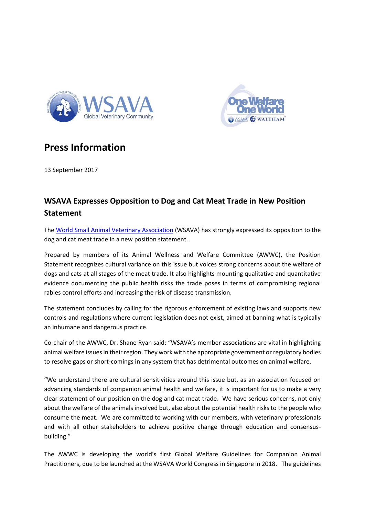



## **Press Information**

13 September 2017

## **WSAVA Expresses Opposition to Dog and Cat Meat Trade in New Position Statement**

The [World Small Animal Veterinary Association](http://www.wsava.org/) (WSAVA) has strongly expressed its opposition to the dog and cat meat trade in a new position statement.

Prepared by members of its Animal Wellness and Welfare Committee (AWWC), the Position Statement recognizes cultural variance on this issue but voices strong concerns about the welfare of dogs and cats at all stages of the meat trade. It also highlights mounting qualitative and quantitative evidence documenting the public health risks the trade poses in terms of compromising regional rabies control efforts and increasing the risk of disease transmission.

The statement concludes by calling for the rigorous enforcement of existing laws and supports new controls and regulations where current legislation does not exist, aimed at banning what is typically an inhumane and dangerous practice.

Co-chair of the AWWC, Dr. Shane Ryan said: "WSAVA's member associations are vital in highlighting animal welfare issues in their region. They work with the appropriate government or regulatory bodies to resolve gaps or short-comings in any system that has detrimental outcomes on animal welfare.

"We understand there are cultural sensitivities around this issue but, as an association focused on advancing standards of companion animal health and welfare, it is important for us to make a very clear statement of our position on the dog and cat meat trade. We have serious concerns, not only about the welfare of the animals involved but, also about the potential health risks to the people who consume the meat. We are committed to working with our members, with veterinary professionals and with all other stakeholders to achieve positive change through education and consensusbuilding."

The AWWC is developing the world's first Global Welfare Guidelines for Companion Animal Practitioners, due to be launched at the WSAVA World Congress in Singapore in 2018. The guidelines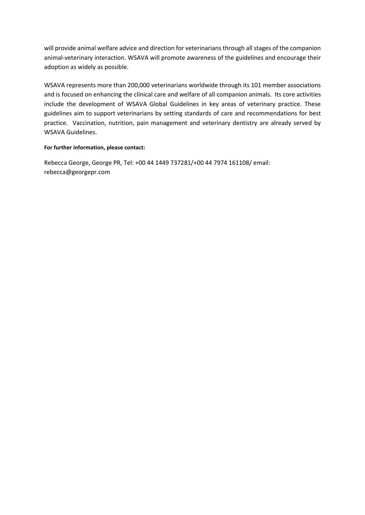will provide animal welfare advice and direction for veterinarians through all stages of the companion animal-veterinary interaction. WSAVA will promote awareness of the guidelines and encourage their adoption as widely as possible.

WSAVA represents more than 200,000 veterinarians worldwide through its 101 member associations and is focused on enhancing the clinical care and welfare of all companion animals. Its core activities include the development of WSAVA Global Guidelines in key areas of veterinary practice. These guidelines aim to support veterinarians by setting standards of care and recommendations for best practice. Vaccination, nutrition, pain management and veterinary dentistry are already served by WSAVA Guidelines.

## **For further information, please contact:**

Rebecca George, George PR, Tel: +00 44 1449 737281/+00 44 7974 161108/ email: [rebecca@georgepr.com](mailto:rebecca@georgepr.com)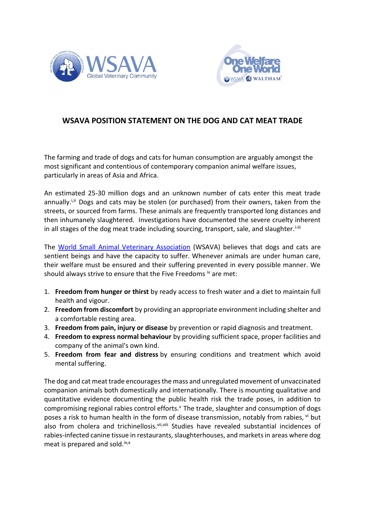



## **WSAVA POSITION STATEMENT ON THE DOG AND CAT MEAT TRADE**

The farming and trade of dogs and cats for human consumption are arguably amongst the most significant and contentious of contemporary companion animal welfare issues, particularly in areas of Asia and Africa.

<span id="page-2-0"></span>An estimated 25-30 million dogs and an unknown number of cats enter this meat trade annually.<sup>i,ii</sup> Dogs and cats may be stolen (or purchased) from their owners, taken from the streets, or sourced from farms. These animals are frequently transported long distances and then inhumanely slaughtered. Investigations have documented the severe cruelty inherent in all stages of the dog meat trade including sourcing, transport, sale, and slaughter.<sup>[i-](#page-2-0)iii</sup>

The [World Small Animal Veterinary Association](http://www.wsava.org/) (WSAVA) believes that dogs and cats are sentient beings and have the capacity to suffer. Whenever animals are under human care, their welfare must be ensured and their suffering prevented in every possible manner. We should always strive to ensure that the Five Freedoms  $iv$  are met:

- 1. **Freedom from hunger or thirst** by ready access to fresh water and a diet to maintain full health and vigour.
- 2. **Freedom from discomfort** by providing an appropriate environment including shelter and a comfortable resting area.
- 3. **Freedom from pain, injury or disease** by prevention or rapid diagnosis and treatment.
- 4. **Freedom to express normal behaviour** by providing sufficient space, proper facilities and company of the animal's own kind.
- 5. **Freedom from fear and distress** by ensuring conditions and treatment which avoid mental suffering.

The dog and cat meat trade encourages the mass and unregulated movement of unvaccinated companion animals both domestically and internationally. There is mounting qualitative and quantitative evidence documenting the public health risk the trade poses, in addition to compromising regional rabies control efforts.<sup>v</sup> The trade, slaughter and consumption of dogs poses a risk to human health in the form of disease transmission, notably from rabies, vi but also from cholera and trichinellosis. Vii, viii Studies have revealed substantial incidences of rabies-infected canine tissue in restaurants, slaughterhouses, and markets in areas where dog meat is prepared and sold.<sup>ix,x</sup>